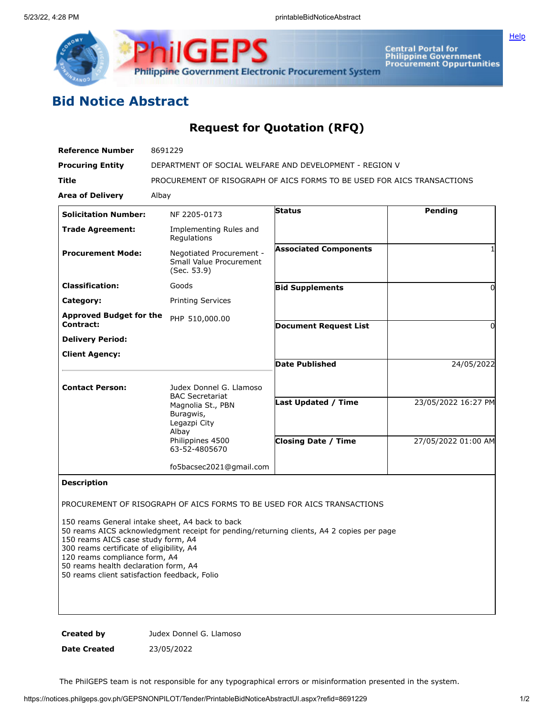

## **Bid Notice Abstract**

## **Request for Quotation (RFQ)**

| <b>Reference Number</b>                     | 8691229                                                                           |                              |                     |
|---------------------------------------------|-----------------------------------------------------------------------------------|------------------------------|---------------------|
| <b>Procuring Entity</b>                     | DEPARTMENT OF SOCIAL WELFARE AND DEVELOPMENT - REGION V                           |                              |                     |
| <b>Title</b>                                | PROCUREMENT OF RISOGRAPH OF AICS FORMS TO BE USED FOR AICS TRANSACTIONS           |                              |                     |
| <b>Area of Delivery</b>                     | Albay                                                                             |                              |                     |
| <b>Solicitation Number:</b>                 | NF 2205-0173                                                                      | <b>Status</b>                | <b>Pending</b>      |
| <b>Trade Agreement:</b>                     | Implementing Rules and<br>Regulations                                             |                              |                     |
| <b>Procurement Mode:</b>                    | Negotiated Procurement -<br>Small Value Procurement<br>(Sec. 53.9)                | <b>Associated Components</b> |                     |
| <b>Classification:</b>                      | Goods                                                                             | <b>Bid Supplements</b>       | 0                   |
| Category:                                   | <b>Printing Services</b>                                                          |                              |                     |
| <b>Approved Budget for the</b><br>Contract: | PHP 510,000.00                                                                    |                              |                     |
|                                             |                                                                                   | <b>Document Request List</b> | $\Omega$            |
| <b>Delivery Period:</b>                     |                                                                                   |                              |                     |
| <b>Client Agency:</b>                       |                                                                                   | <b>Date Published</b>        | 24/05/2022          |
| <b>Contact Person:</b>                      | Judex Donnel G. Llamoso                                                           |                              |                     |
|                                             | <b>BAC Secretariat</b><br>Magnolia St., PBN<br>Buragwis,<br>Legazpi City<br>Albay | <b>Last Updated / Time</b>   | 23/05/2022 16:27 PM |
|                                             | Philippines 4500<br>63-52-4805670                                                 | <b>Closing Date / Time</b>   | 27/05/2022 01:00 AM |
|                                             | fo5bacsec2021@gmail.com                                                           |                              |                     |
| <b>Description</b>                          |                                                                                   |                              |                     |
|                                             | PROCUREMENT OF RISOGRAPH OF AICS FORMS TO BE USED FOR AICS TRANSACTIONS           |                              |                     |

150 reams General intake sheet, A4 back to back

50 reams AICS acknowledgment receipt for pending/returning clients, A4 2 copies per page

150 reams AICS case study form, A4

300 reams certificate of eligibility, A4

120 reams compliance form, A4

50 reams health declaration form, A4

50 reams client satisfaction feedback, Folio

**Created by Judex Donnel G. Llamoso** 

**Date Created** 23/05/2022

The PhilGEPS team is not responsible for any typographical errors or misinformation presented in the system.

**[Help](javascript:void(window.open()**